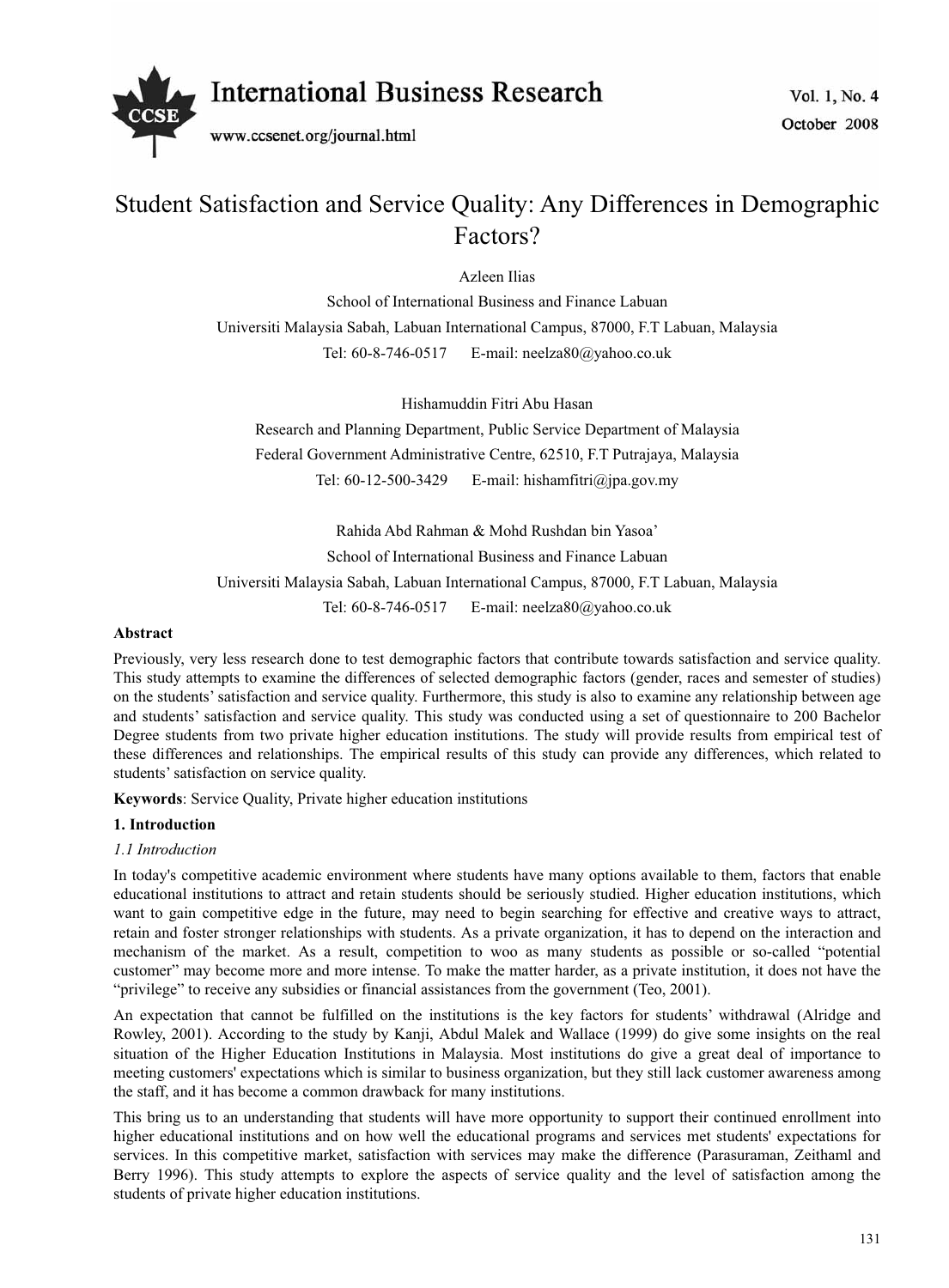

# Student Satisfaction and Service Quality: Any Differences in Demographic Factors?

Azleen Ilias

School of International Business and Finance Labuan Universiti Malaysia Sabah, Labuan International Campus, 87000, F.T Labuan, Malaysia Tel: 60-8-746-0517 E-mail: neelza80@yahoo.co.uk

Hishamuddin Fitri Abu Hasan

Research and Planning Department, Public Service Department of Malaysia Federal Government Administrative Centre, 62510, F.T Putrajaya, Malaysia Tel:  $60-12-500-3429$  E-mail: hishamfitri@ipa.gov.my

Rahida Abd Rahman & Mohd Rushdan bin Yasoa'

School of International Business and Finance Labuan

Universiti Malaysia Sabah, Labuan International Campus, 87000, F.T Labuan, Malaysia

Tel: 60-8-746-0517 E-mail: neelza80@yahoo.co.uk

## **Abstract**

Previously, very less research done to test demographic factors that contribute towards satisfaction and service quality. This study attempts to examine the differences of selected demographic factors (gender, races and semester of studies) on the students' satisfaction and service quality. Furthermore, this study is also to examine any relationship between age and students' satisfaction and service quality. This study was conducted using a set of questionnaire to 200 Bachelor Degree students from two private higher education institutions. The study will provide results from empirical test of these differences and relationships. The empirical results of this study can provide any differences, which related to students' satisfaction on service quality.

**Keywords**: Service Quality, Private higher education institutions

#### **1. Introduction**

#### *1.1 Introduction*

In today's competitive academic environment where students have many options available to them, factors that enable educational institutions to attract and retain students should be seriously studied. Higher education institutions, which want to gain competitive edge in the future, may need to begin searching for effective and creative ways to attract, retain and foster stronger relationships with students. As a private organization, it has to depend on the interaction and mechanism of the market. As a result, competition to woo as many students as possible or so-called "potential customer" may become more and more intense. To make the matter harder, as a private institution, it does not have the "privilege" to receive any subsidies or financial assistances from the government (Teo, 2001).

An expectation that cannot be fulfilled on the institutions is the key factors for students' withdrawal (Alridge and Rowley, 2001). According to the study by Kanji, Abdul Malek and Wallace (1999) do give some insights on the real situation of the Higher Education Institutions in Malaysia. Most institutions do give a great deal of importance to meeting customers' expectations which is similar to business organization, but they still lack customer awareness among the staff, and it has become a common drawback for many institutions.

This bring us to an understanding that students will have more opportunity to support their continued enrollment into higher educational institutions and on how well the educational programs and services met students' expectations for services. In this competitive market, satisfaction with services may make the difference (Parasuraman, Zeithaml and Berry 1996). This study attempts to explore the aspects of service quality and the level of satisfaction among the students of private higher education institutions.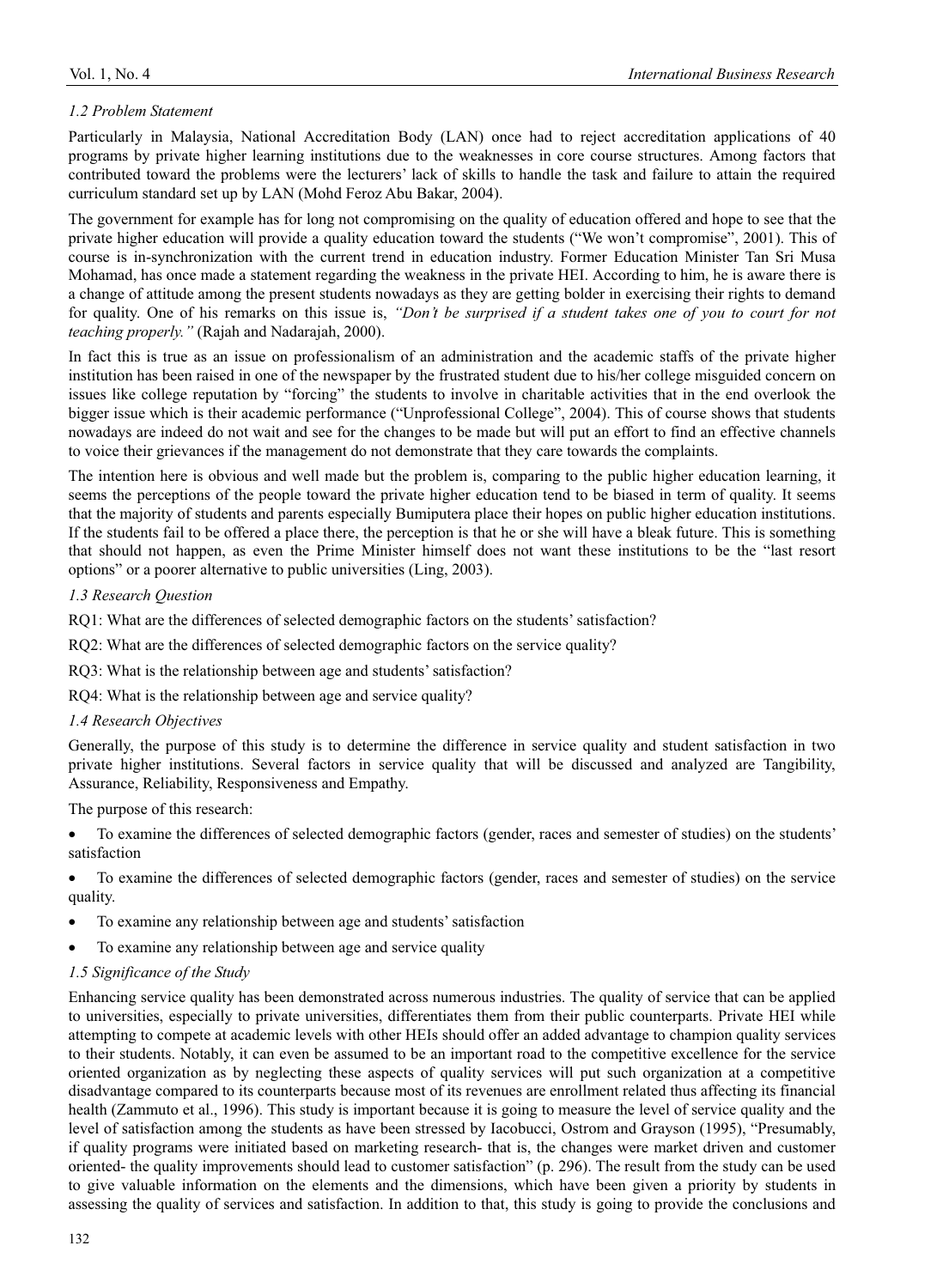## *1.2 Problem Statement*

Particularly in Malaysia, National Accreditation Body (LAN) once had to reject accreditation applications of 40 programs by private higher learning institutions due to the weaknesses in core course structures. Among factors that contributed toward the problems were the lecturers' lack of skills to handle the task and failure to attain the required curriculum standard set up by LAN (Mohd Feroz Abu Bakar, 2004).

The government for example has for long not compromising on the quality of education offered and hope to see that the private higher education will provide a quality education toward the students ("We won't compromise", 2001). This of course is in-synchronization with the current trend in education industry. Former Education Minister Tan Sri Musa Mohamad, has once made a statement regarding the weakness in the private HEI. According to him, he is aware there is a change of attitude among the present students nowadays as they are getting bolder in exercising their rights to demand for quality. One of his remarks on this issue is, *"Don't be surprised if a student takes one of you to court for not teaching properly."* (Rajah and Nadarajah, 2000).

In fact this is true as an issue on professionalism of an administration and the academic staffs of the private higher institution has been raised in one of the newspaper by the frustrated student due to his/her college misguided concern on issues like college reputation by "forcing" the students to involve in charitable activities that in the end overlook the bigger issue which is their academic performance ("Unprofessional College", 2004). This of course shows that students nowadays are indeed do not wait and see for the changes to be made but will put an effort to find an effective channels to voice their grievances if the management do not demonstrate that they care towards the complaints.

The intention here is obvious and well made but the problem is, comparing to the public higher education learning, it seems the perceptions of the people toward the private higher education tend to be biased in term of quality. It seems that the majority of students and parents especially Bumiputera place their hopes on public higher education institutions. If the students fail to be offered a place there, the perception is that he or she will have a bleak future. This is something that should not happen, as even the Prime Minister himself does not want these institutions to be the "last resort options" or a poorer alternative to public universities (Ling, 2003).

#### *1.3 Research Question*

RQ1: What are the differences of selected demographic factors on the students' satisfaction?

RQ2: What are the differences of selected demographic factors on the service quality?

RQ3: What is the relationship between age and students' satisfaction?

RQ4: What is the relationship between age and service quality?

#### *1.4 Research Objectives*

Generally, the purpose of this study is to determine the difference in service quality and student satisfaction in two private higher institutions. Several factors in service quality that will be discussed and analyzed are Tangibility, Assurance, Reliability, Responsiveness and Empathy.

The purpose of this research:

- To examine the differences of selected demographic factors (gender, races and semester of studies) on the students' satisfaction
- To examine the differences of selected demographic factors (gender, races and semester of studies) on the service quality.
- To examine any relationship between age and students' satisfaction
- To examine any relationship between age and service quality

#### *1.5 Significance of the Study*

Enhancing service quality has been demonstrated across numerous industries. The quality of service that can be applied to universities, especially to private universities, differentiates them from their public counterparts. Private HEI while attempting to compete at academic levels with other HEIs should offer an added advantage to champion quality services to their students. Notably, it can even be assumed to be an important road to the competitive excellence for the service oriented organization as by neglecting these aspects of quality services will put such organization at a competitive disadvantage compared to its counterparts because most of its revenues are enrollment related thus affecting its financial health (Zammuto et al., 1996). This study is important because it is going to measure the level of service quality and the level of satisfaction among the students as have been stressed by Iacobucci, Ostrom and Grayson (1995), "Presumably, if quality programs were initiated based on marketing research- that is, the changes were market driven and customer oriented- the quality improvements should lead to customer satisfaction" (p. 296). The result from the study can be used to give valuable information on the elements and the dimensions, which have been given a priority by students in assessing the quality of services and satisfaction. In addition to that, this study is going to provide the conclusions and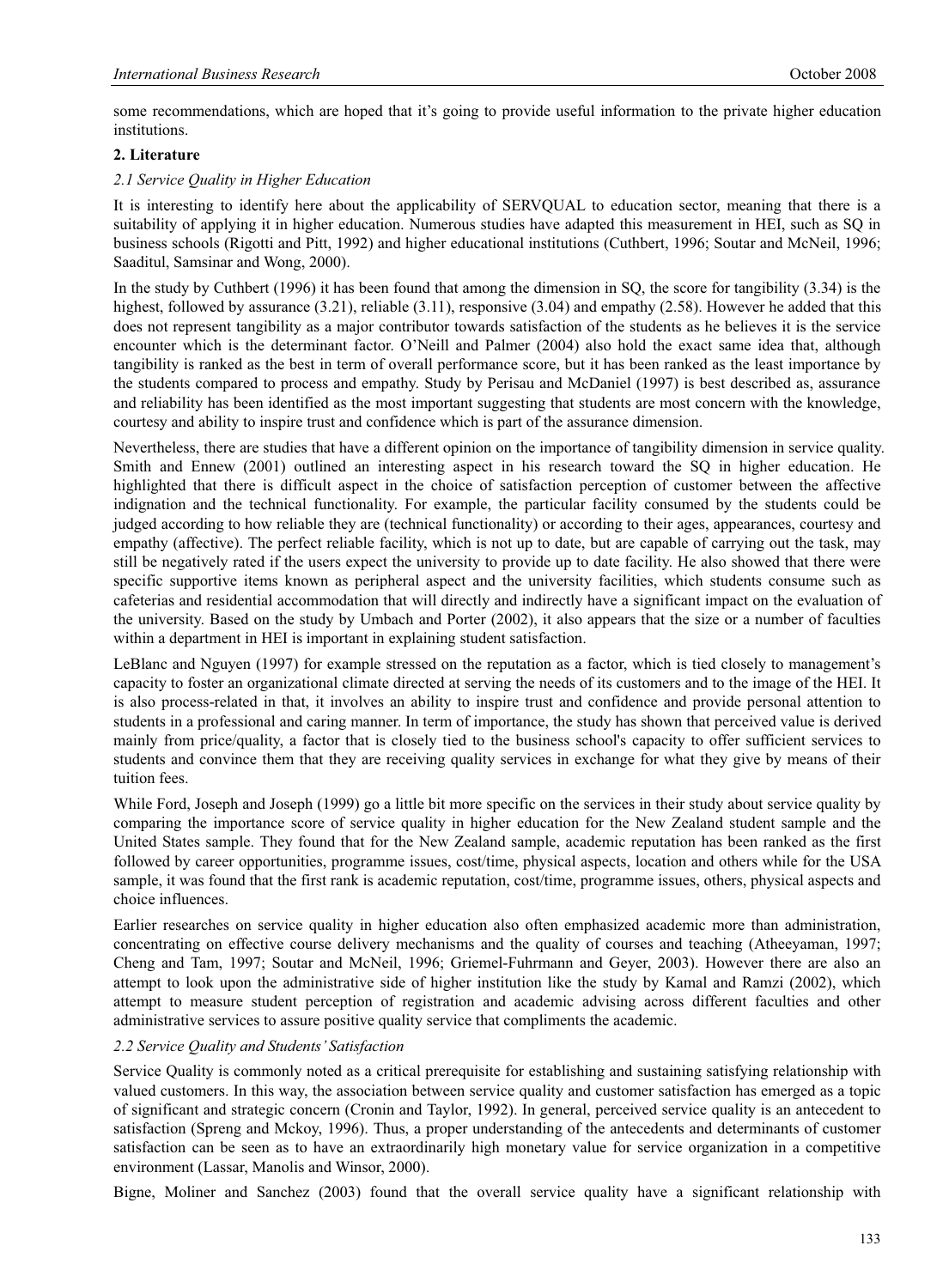some recommendations, which are hoped that it's going to provide useful information to the private higher education institutions.

## **2. Literature**

#### *2.1 Service Quality in Higher Education*

It is interesting to identify here about the applicability of SERVQUAL to education sector, meaning that there is a suitability of applying it in higher education. Numerous studies have adapted this measurement in HEI, such as SQ in business schools (Rigotti and Pitt, 1992) and higher educational institutions (Cuthbert, 1996; Soutar and McNeil, 1996; Saaditul, Samsinar and Wong, 2000).

In the study by Cuthbert (1996) it has been found that among the dimension in SQ, the score for tangibility (3.34) is the highest, followed by assurance (3.21), reliable (3.11), responsive (3.04) and empathy (2.58). However he added that this does not represent tangibility as a major contributor towards satisfaction of the students as he believes it is the service encounter which is the determinant factor. O'Neill and Palmer (2004) also hold the exact same idea that, although tangibility is ranked as the best in term of overall performance score, but it has been ranked as the least importance by the students compared to process and empathy. Study by Perisau and McDaniel (1997) is best described as, assurance and reliability has been identified as the most important suggesting that students are most concern with the knowledge, courtesy and ability to inspire trust and confidence which is part of the assurance dimension.

Nevertheless, there are studies that have a different opinion on the importance of tangibility dimension in service quality. Smith and Ennew (2001) outlined an interesting aspect in his research toward the SQ in higher education. He highlighted that there is difficult aspect in the choice of satisfaction perception of customer between the affective indignation and the technical functionality. For example, the particular facility consumed by the students could be judged according to how reliable they are (technical functionality) or according to their ages, appearances, courtesy and empathy (affective). The perfect reliable facility, which is not up to date, but are capable of carrying out the task, may still be negatively rated if the users expect the university to provide up to date facility. He also showed that there were specific supportive items known as peripheral aspect and the university facilities, which students consume such as cafeterias and residential accommodation that will directly and indirectly have a significant impact on the evaluation of the university. Based on the study by Umbach and Porter (2002), it also appears that the size or a number of faculties within a department in HEI is important in explaining student satisfaction.

LeBlanc and Nguyen (1997) for example stressed on the reputation as a factor, which is tied closely to management's capacity to foster an organizational climate directed at serving the needs of its customers and to the image of the HEI. It is also process-related in that, it involves an ability to inspire trust and confidence and provide personal attention to students in a professional and caring manner. In term of importance, the study has shown that perceived value is derived mainly from price/quality, a factor that is closely tied to the business school's capacity to offer sufficient services to students and convince them that they are receiving quality services in exchange for what they give by means of their tuition fees.

While Ford, Joseph and Joseph (1999) go a little bit more specific on the services in their study about service quality by comparing the importance score of service quality in higher education for the New Zealand student sample and the United States sample. They found that for the New Zealand sample, academic reputation has been ranked as the first followed by career opportunities, programme issues, cost/time, physical aspects, location and others while for the USA sample, it was found that the first rank is academic reputation, cost/time, programme issues, others, physical aspects and choice influences.

Earlier researches on service quality in higher education also often emphasized academic more than administration, concentrating on effective course delivery mechanisms and the quality of courses and teaching (Atheeyaman, 1997; Cheng and Tam, 1997; Soutar and McNeil, 1996; Griemel-Fuhrmann and Geyer, 2003). However there are also an attempt to look upon the administrative side of higher institution like the study by Kamal and Ramzi (2002), which attempt to measure student perception of registration and academic advising across different faculties and other administrative services to assure positive quality service that compliments the academic.

#### *2.2 Service Quality and Students' Satisfaction*

Service Quality is commonly noted as a critical prerequisite for establishing and sustaining satisfying relationship with valued customers. In this way, the association between service quality and customer satisfaction has emerged as a topic of significant and strategic concern (Cronin and Taylor, 1992). In general, perceived service quality is an antecedent to satisfaction (Spreng and Mckoy, 1996). Thus, a proper understanding of the antecedents and determinants of customer satisfaction can be seen as to have an extraordinarily high monetary value for service organization in a competitive environment (Lassar, Manolis and Winsor, 2000).

Bigne, Moliner and Sanchez (2003) found that the overall service quality have a significant relationship with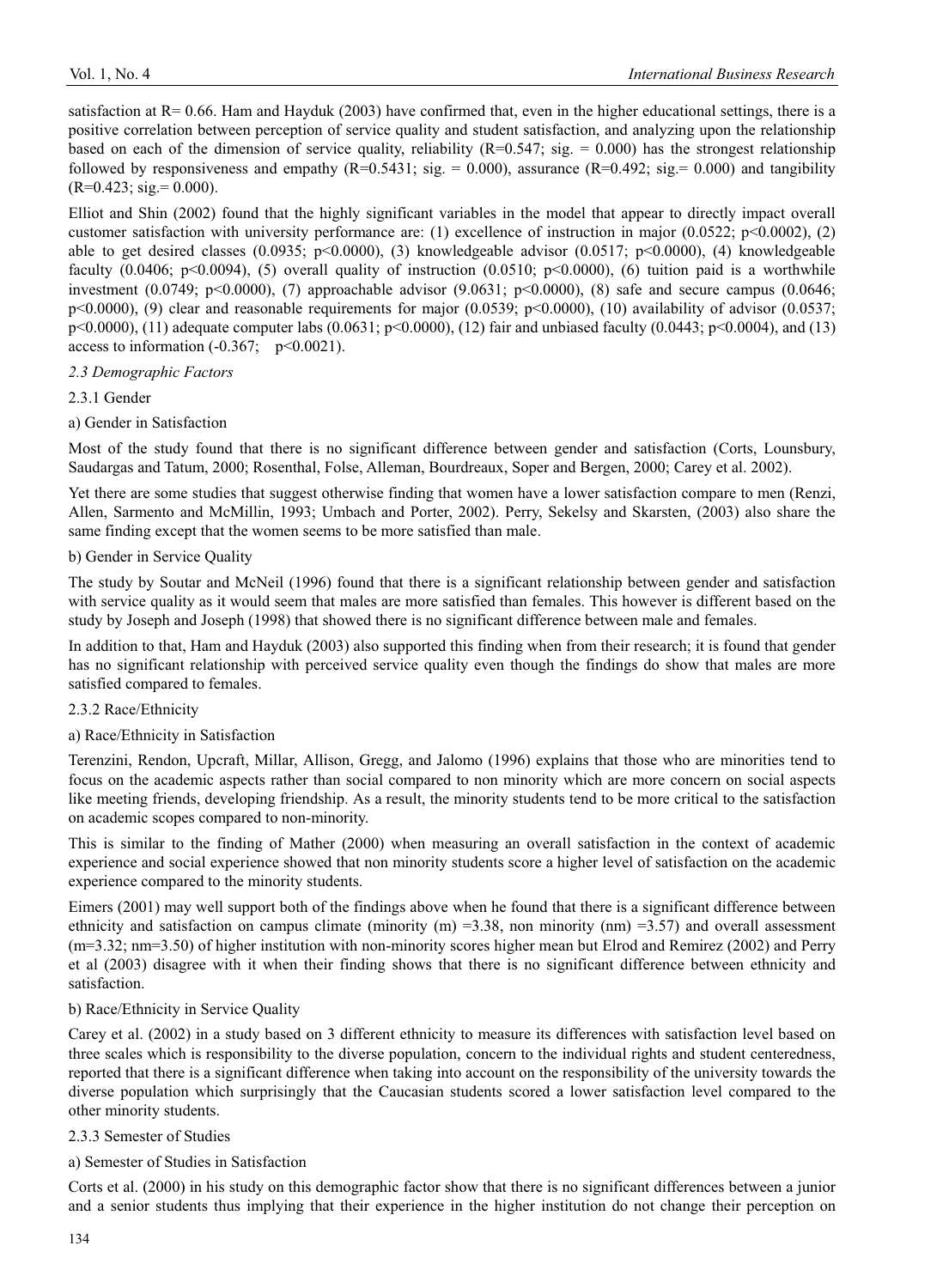satisfaction at  $R=0.66$ . Ham and Hayduk (2003) have confirmed that, even in the higher educational settings, there is a positive correlation between perception of service quality and student satisfaction, and analyzing upon the relationship based on each of the dimension of service quality, reliability  $(R=0.547; sig. = 0.000)$  has the strongest relationship followed by responsiveness and empathy (R=0.5431; sig. = 0.000), assurance (R=0.492; sig. = 0.000) and tangibility  $(R=0.423; sig = 0.000)$ .

Elliot and Shin (2002) found that the highly significant variables in the model that appear to directly impact overall customer satisfaction with university performance are: (1) excellence of instruction in major (0.0522;  $p<0.0002$ ), (2) able to get desired classes (0.0935; p<0.0000), (3) knowledgeable advisor (0.0517; p<0.0000), (4) knowledgeable faculty (0.0406; p<0.0094), (5) overall quality of instruction (0.0510; p<0.0000), (6) tuition paid is a worthwhile investment (0.0749; p<0.0000), (7) approachable advisor (9.0631; p<0.0000), (8) safe and secure campus (0.0646; p<0.0000), (9) clear and reasonable requirements for major (0.0539; p<0.0000), (10) availability of advisor (0.0537; p<0.0000), (11) adequate computer labs (0.0631; p<0.0000), (12) fair and unbiased faculty (0.0443; p<0.0004), and (13) access to information  $(-0.367; p<0.0021)$ .

*2.3 Demographic Factors* 

2.3.1 Gender

a) Gender in Satisfaction

Most of the study found that there is no significant difference between gender and satisfaction (Corts, Lounsbury, Saudargas and Tatum, 2000; Rosenthal, Folse, Alleman, Bourdreaux, Soper and Bergen, 2000; Carey et al. 2002).

Yet there are some studies that suggest otherwise finding that women have a lower satisfaction compare to men (Renzi, Allen, Sarmento and McMillin, 1993; Umbach and Porter, 2002). Perry, Sekelsy and Skarsten, (2003) also share the same finding except that the women seems to be more satisfied than male.

b) Gender in Service Quality

The study by Soutar and McNeil (1996) found that there is a significant relationship between gender and satisfaction with service quality as it would seem that males are more satisfied than females. This however is different based on the study by Joseph and Joseph (1998) that showed there is no significant difference between male and females.

In addition to that, Ham and Hayduk (2003) also supported this finding when from their research; it is found that gender has no significant relationship with perceived service quality even though the findings do show that males are more satisfied compared to females.

2.3.2 Race/Ethnicity

a) Race/Ethnicity in Satisfaction

Terenzini, Rendon, Upcraft, Millar, Allison, Gregg, and Jalomo (1996) explains that those who are minorities tend to focus on the academic aspects rather than social compared to non minority which are more concern on social aspects like meeting friends, developing friendship. As a result, the minority students tend to be more critical to the satisfaction on academic scopes compared to non-minority.

This is similar to the finding of Mather (2000) when measuring an overall satisfaction in the context of academic experience and social experience showed that non minority students score a higher level of satisfaction on the academic experience compared to the minority students.

Eimers (2001) may well support both of the findings above when he found that there is a significant difference between ethnicity and satisfaction on campus climate (minority  $(m)$  =3.38, non minority  $(nm)$  =3.57) and overall assessment (m=3.32; nm=3.50) of higher institution with non-minority scores higher mean but Elrod and Remirez (2002) and Perry et al (2003) disagree with it when their finding shows that there is no significant difference between ethnicity and satisfaction.

#### b) Race/Ethnicity in Service Quality

Carey et al. (2002) in a study based on 3 different ethnicity to measure its differences with satisfaction level based on three scales which is responsibility to the diverse population, concern to the individual rights and student centeredness, reported that there is a significant difference when taking into account on the responsibility of the university towards the diverse population which surprisingly that the Caucasian students scored a lower satisfaction level compared to the other minority students.

2.3.3 Semester of Studies

a) Semester of Studies in Satisfaction

Corts et al. (2000) in his study on this demographic factor show that there is no significant differences between a junior and a senior students thus implying that their experience in the higher institution do not change their perception on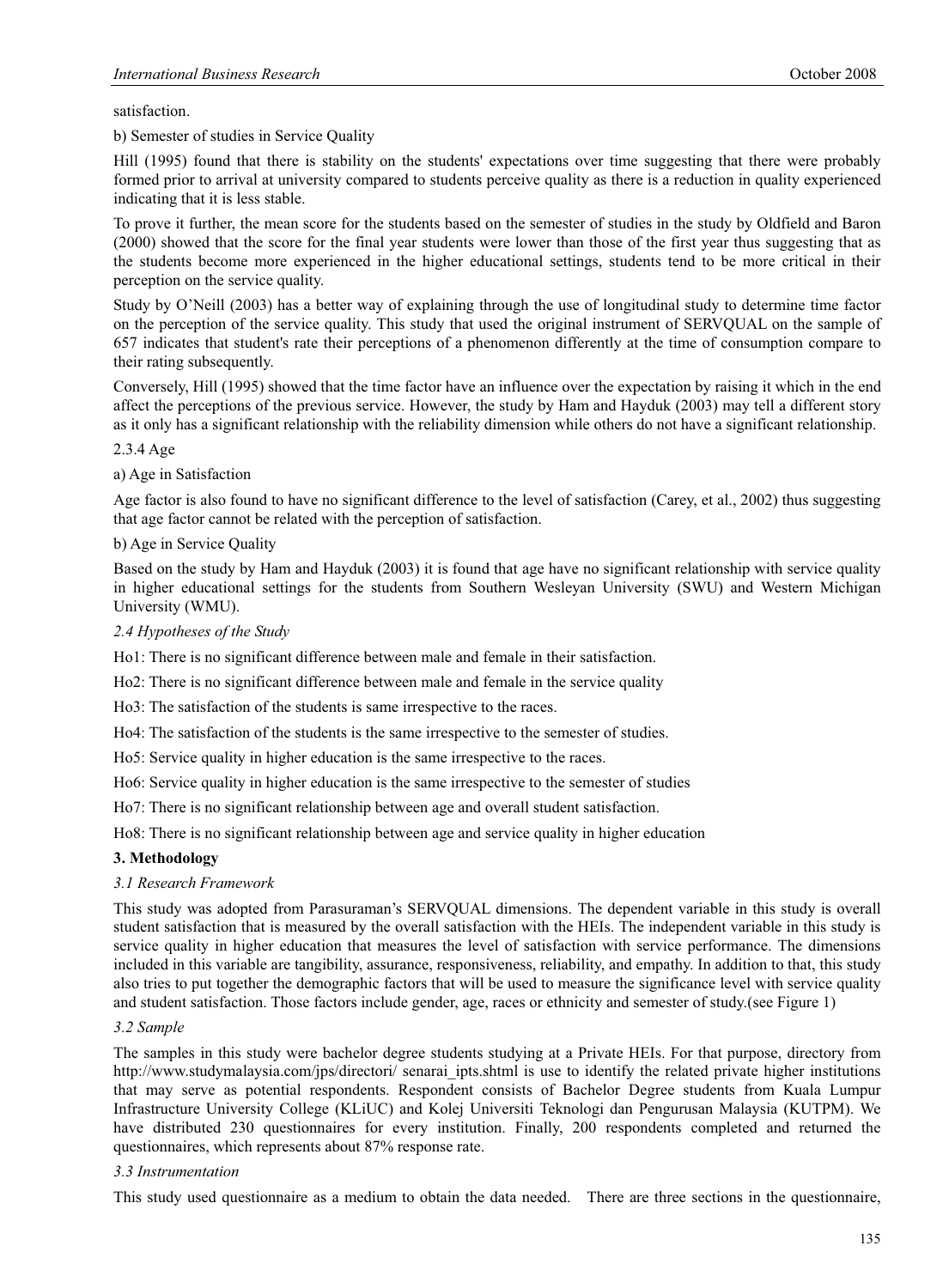## satisfaction.

b) Semester of studies in Service Quality

Hill (1995) found that there is stability on the students' expectations over time suggesting that there were probably formed prior to arrival at university compared to students perceive quality as there is a reduction in quality experienced indicating that it is less stable.

To prove it further, the mean score for the students based on the semester of studies in the study by Oldfield and Baron (2000) showed that the score for the final year students were lower than those of the first year thus suggesting that as the students become more experienced in the higher educational settings, students tend to be more critical in their perception on the service quality.

Study by O'Neill (2003) has a better way of explaining through the use of longitudinal study to determine time factor on the perception of the service quality. This study that used the original instrument of SERVQUAL on the sample of 657 indicates that student's rate their perceptions of a phenomenon differently at the time of consumption compare to their rating subsequently.

Conversely, Hill (1995) showed that the time factor have an influence over the expectation by raising it which in the end affect the perceptions of the previous service. However, the study by Ham and Hayduk (2003) may tell a different story as it only has a significant relationship with the reliability dimension while others do not have a significant relationship.

## 2.3.4 Age

## a) Age in Satisfaction

Age factor is also found to have no significant difference to the level of satisfaction (Carey, et al., 2002) thus suggesting that age factor cannot be related with the perception of satisfaction.

## b) Age in Service Quality

Based on the study by Ham and Hayduk (2003) it is found that age have no significant relationship with service quality in higher educational settings for the students from Southern Wesleyan University (SWU) and Western Michigan University (WMU).

## *2.4 Hypotheses of the Study*

Ho1: There is no significant difference between male and female in their satisfaction.

Ho2: There is no significant difference between male and female in the service quality

Ho3: The satisfaction of the students is same irrespective to the races.

Ho4: The satisfaction of the students is the same irrespective to the semester of studies.

Ho5: Service quality in higher education is the same irrespective to the races.

Ho6: Service quality in higher education is the same irrespective to the semester of studies

Ho7: There is no significant relationship between age and overall student satisfaction.

Ho8: There is no significant relationship between age and service quality in higher education

#### **3. Methodology**

#### *3.1 Research Framework*

This study was adopted from Parasuraman's SERVQUAL dimensions. The dependent variable in this study is overall student satisfaction that is measured by the overall satisfaction with the HEIs. The independent variable in this study is service quality in higher education that measures the level of satisfaction with service performance. The dimensions included in this variable are tangibility, assurance, responsiveness, reliability, and empathy. In addition to that, this study also tries to put together the demographic factors that will be used to measure the significance level with service quality and student satisfaction. Those factors include gender, age, races or ethnicity and semester of study.(see Figure 1)

#### *3.2 Sample*

The samples in this study were bachelor degree students studying at a Private HEIs. For that purpose, directory from http://www.studymalaysia.com/jps/directori/ senarai ipts.shtml is use to identify the related private higher institutions that may serve as potential respondents. Respondent consists of Bachelor Degree students from Kuala Lumpur Infrastructure University College (KLiUC) and Kolej Universiti Teknologi dan Pengurusan Malaysia (KUTPM). We have distributed 230 questionnaires for every institution. Finally, 200 respondents completed and returned the questionnaires, which represents about 87% response rate.

#### *3.3 Instrumentation*

This study used questionnaire as a medium to obtain the data needed. There are three sections in the questionnaire,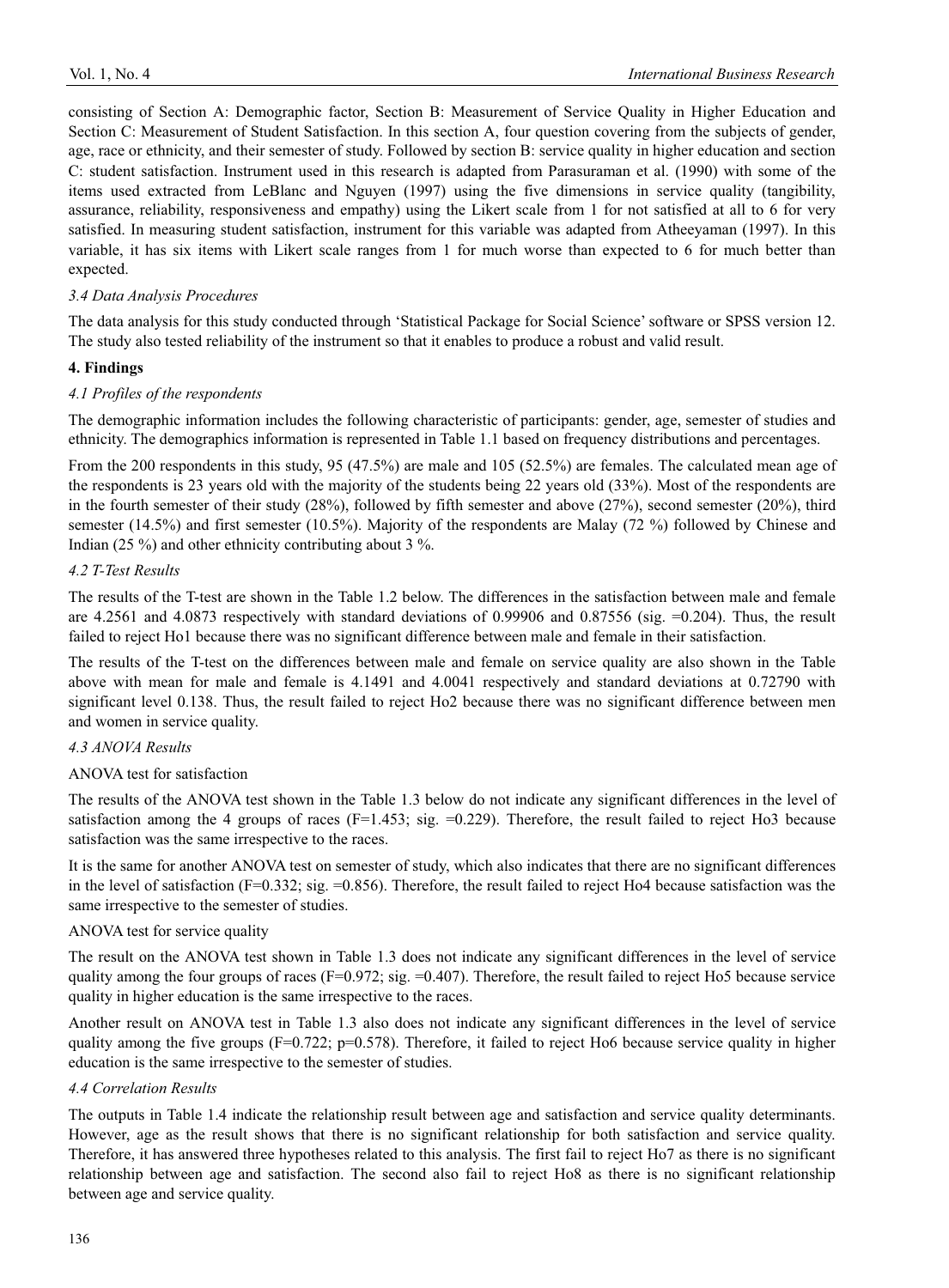consisting of Section A: Demographic factor, Section B: Measurement of Service Quality in Higher Education and Section C: Measurement of Student Satisfaction. In this section A, four question covering from the subjects of gender, age, race or ethnicity, and their semester of study. Followed by section B: service quality in higher education and section C: student satisfaction. Instrument used in this research is adapted from Parasuraman et al. (1990) with some of the items used extracted from LeBlanc and Nguyen (1997) using the five dimensions in service quality (tangibility, assurance, reliability, responsiveness and empathy) using the Likert scale from 1 for not satisfied at all to 6 for very satisfied. In measuring student satisfaction, instrument for this variable was adapted from Atheeyaman (1997). In this variable, it has six items with Likert scale ranges from 1 for much worse than expected to 6 for much better than expected.

## *3.4 Data Analysis Procedures*

The data analysis for this study conducted through 'Statistical Package for Social Science' software or SPSS version 12. The study also tested reliability of the instrument so that it enables to produce a robust and valid result.

## **4. Findings**

## *4.1 Profiles of the respondents*

The demographic information includes the following characteristic of participants: gender, age, semester of studies and ethnicity. The demographics information is represented in Table 1.1 based on frequency distributions and percentages.

From the 200 respondents in this study, 95 (47.5%) are male and 105 (52.5%) are females. The calculated mean age of the respondents is 23 years old with the majority of the students being 22 years old (33%). Most of the respondents are in the fourth semester of their study (28%), followed by fifth semester and above (27%), second semester (20%), third semester (14.5%) and first semester (10.5%). Majority of the respondents are Malay (72 %) followed by Chinese and Indian (25 %) and other ethnicity contributing about 3 %.

## *4.2 T-Test Results*

The results of the T-test are shown in the Table 1.2 below. The differences in the satisfaction between male and female are 4.2561 and 4.0873 respectively with standard deviations of 0.99906 and 0.87556 (sig.  $=0.204$ ). Thus, the result failed to reject Ho1 because there was no significant difference between male and female in their satisfaction.

The results of the T-test on the differences between male and female on service quality are also shown in the Table above with mean for male and female is 4.1491 and 4.0041 respectively and standard deviations at 0.72790 with significant level 0.138. Thus, the result failed to reject Ho2 because there was no significant difference between men and women in service quality.

## *4.3 ANOVA Results*

## ANOVA test for satisfaction

The results of the ANOVA test shown in the Table 1.3 below do not indicate any significant differences in the level of satisfaction among the 4 groups of races  $(F=1.453; sig. =0.229)$ . Therefore, the result failed to reject Ho3 because satisfaction was the same irrespective to the races.

It is the same for another ANOVA test on semester of study, which also indicates that there are no significant differences in the level of satisfaction ( $F=0.332$ ; sig.  $=0.856$ ). Therefore, the result failed to reject Ho4 because satisfaction was the same irrespective to the semester of studies.

#### ANOVA test for service quality

The result on the ANOVA test shown in Table 1.3 does not indicate any significant differences in the level of service quality among the four groups of races (F=0.972; sig. =0.407). Therefore, the result failed to reject Ho5 because service quality in higher education is the same irrespective to the races.

Another result on ANOVA test in Table 1.3 also does not indicate any significant differences in the level of service quality among the five groups  $(F=0.722; p=0.578)$ . Therefore, it failed to reject Ho6 because service quality in higher education is the same irrespective to the semester of studies.

#### *4.4 Correlation Results*

The outputs in Table 1.4 indicate the relationship result between age and satisfaction and service quality determinants. However, age as the result shows that there is no significant relationship for both satisfaction and service quality. Therefore, it has answered three hypotheses related to this analysis. The first fail to reject Ho7 as there is no significant relationship between age and satisfaction. The second also fail to reject Ho8 as there is no significant relationship between age and service quality.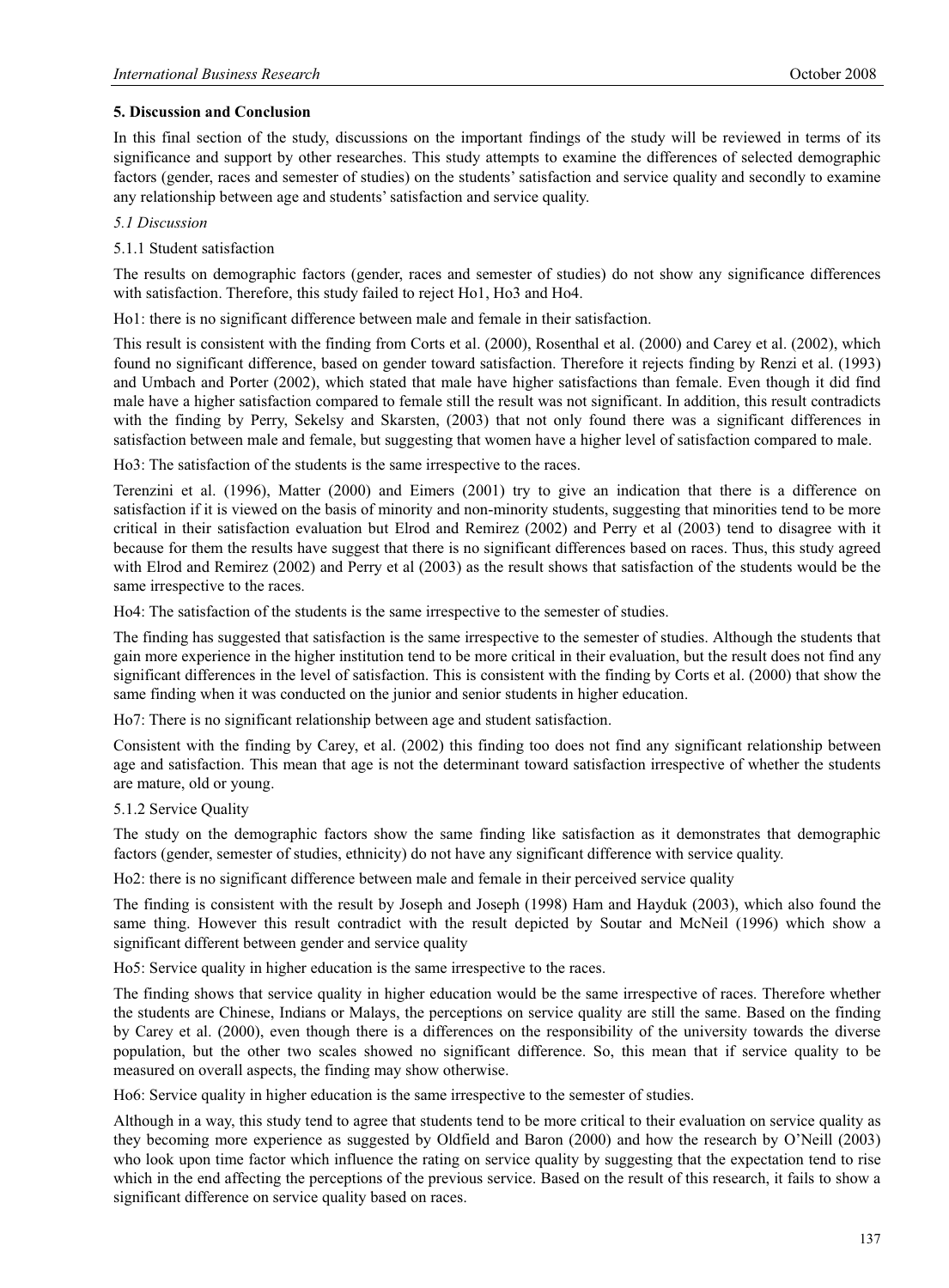## **5. Discussion and Conclusion**

In this final section of the study, discussions on the important findings of the study will be reviewed in terms of its significance and support by other researches. This study attempts to examine the differences of selected demographic factors (gender, races and semester of studies) on the students' satisfaction and service quality and secondly to examine any relationship between age and students' satisfaction and service quality.

#### *5.1 Discussion*

## 5.1.1 Student satisfaction

The results on demographic factors (gender, races and semester of studies) do not show any significance differences with satisfaction. Therefore, this study failed to reject Ho1, Ho3 and Ho4.

Ho1: there is no significant difference between male and female in their satisfaction.

This result is consistent with the finding from Corts et al. (2000), Rosenthal et al. (2000) and Carey et al. (2002), which found no significant difference, based on gender toward satisfaction. Therefore it rejects finding by Renzi et al. (1993) and Umbach and Porter (2002), which stated that male have higher satisfactions than female. Even though it did find male have a higher satisfaction compared to female still the result was not significant. In addition, this result contradicts with the finding by Perry, Sekelsy and Skarsten, (2003) that not only found there was a significant differences in satisfaction between male and female, but suggesting that women have a higher level of satisfaction compared to male.

Ho3: The satisfaction of the students is the same irrespective to the races.

Terenzini et al. (1996), Matter (2000) and Eimers (2001) try to give an indication that there is a difference on satisfaction if it is viewed on the basis of minority and non-minority students, suggesting that minorities tend to be more critical in their satisfaction evaluation but Elrod and Remirez (2002) and Perry et al (2003) tend to disagree with it because for them the results have suggest that there is no significant differences based on races. Thus, this study agreed with Elrod and Remirez (2002) and Perry et al (2003) as the result shows that satisfaction of the students would be the same irrespective to the races.

Ho4: The satisfaction of the students is the same irrespective to the semester of studies.

The finding has suggested that satisfaction is the same irrespective to the semester of studies. Although the students that gain more experience in the higher institution tend to be more critical in their evaluation, but the result does not find any significant differences in the level of satisfaction. This is consistent with the finding by Corts et al. (2000) that show the same finding when it was conducted on the junior and senior students in higher education.

Ho7: There is no significant relationship between age and student satisfaction.

Consistent with the finding by Carey, et al. (2002) this finding too does not find any significant relationship between age and satisfaction. This mean that age is not the determinant toward satisfaction irrespective of whether the students are mature, old or young.

#### 5.1.2 Service Quality

The study on the demographic factors show the same finding like satisfaction as it demonstrates that demographic factors (gender, semester of studies, ethnicity) do not have any significant difference with service quality.

Ho2: there is no significant difference between male and female in their perceived service quality

The finding is consistent with the result by Joseph and Joseph (1998) Ham and Hayduk (2003), which also found the same thing. However this result contradict with the result depicted by Soutar and McNeil (1996) which show a significant different between gender and service quality

Ho5: Service quality in higher education is the same irrespective to the races.

The finding shows that service quality in higher education would be the same irrespective of races. Therefore whether the students are Chinese, Indians or Malays, the perceptions on service quality are still the same. Based on the finding by Carey et al. (2000), even though there is a differences on the responsibility of the university towards the diverse population, but the other two scales showed no significant difference. So, this mean that if service quality to be measured on overall aspects, the finding may show otherwise.

Ho6: Service quality in higher education is the same irrespective to the semester of studies.

Although in a way, this study tend to agree that students tend to be more critical to their evaluation on service quality as they becoming more experience as suggested by Oldfield and Baron (2000) and how the research by O'Neill (2003) who look upon time factor which influence the rating on service quality by suggesting that the expectation tend to rise which in the end affecting the perceptions of the previous service. Based on the result of this research, it fails to show a significant difference on service quality based on races.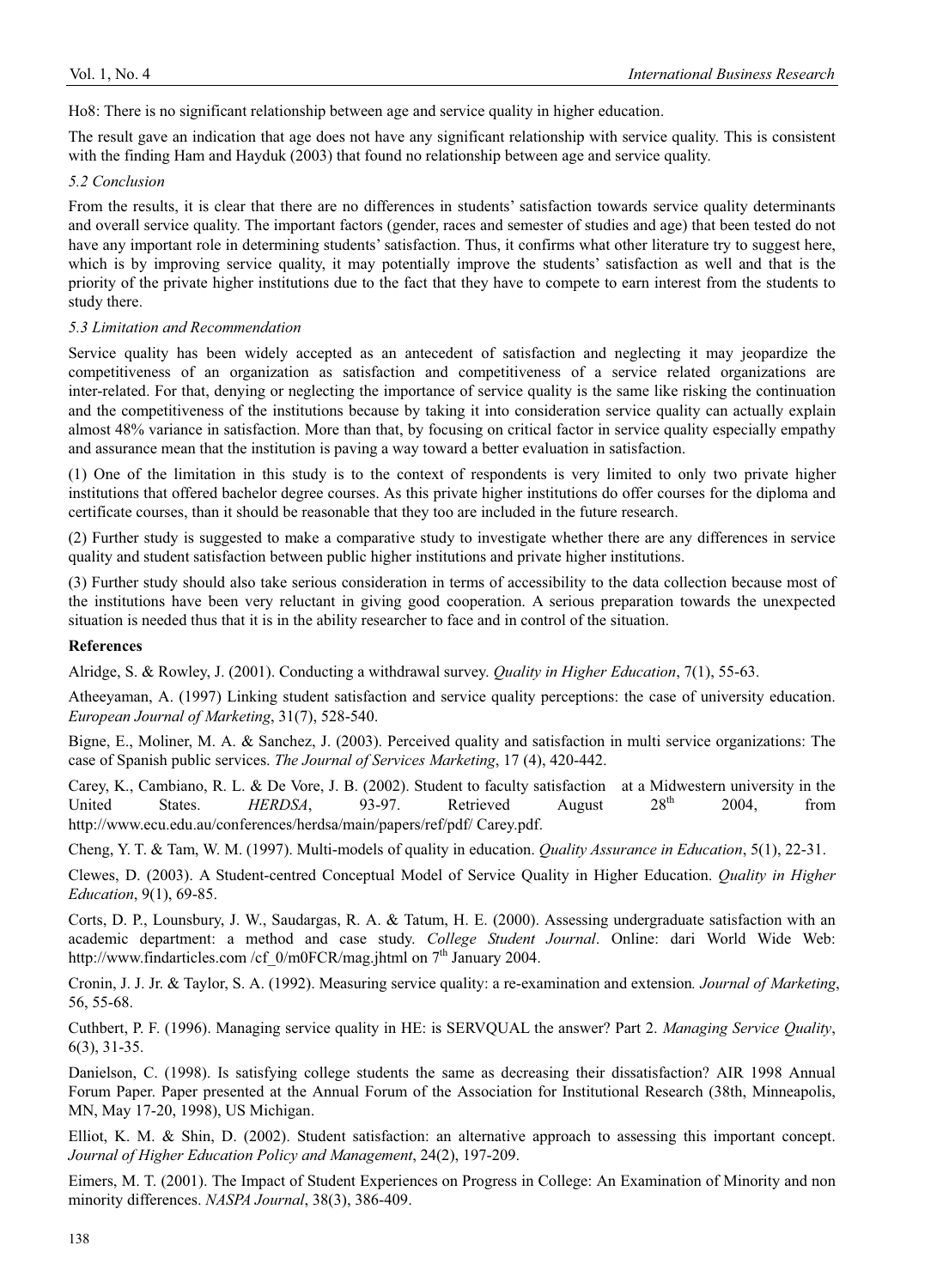Ho8: There is no significant relationship between age and service quality in higher education.

The result gave an indication that age does not have any significant relationship with service quality. This is consistent with the finding Ham and Hayduk (2003) that found no relationship between age and service quality.

### *5.2 Conclusion*

From the results, it is clear that there are no differences in students' satisfaction towards service quality determinants and overall service quality. The important factors (gender, races and semester of studies and age) that been tested do not have any important role in determining students' satisfaction. Thus, it confirms what other literature try to suggest here, which is by improving service quality, it may potentially improve the students' satisfaction as well and that is the priority of the private higher institutions due to the fact that they have to compete to earn interest from the students to study there.

## *5.3 Limitation and Recommendation*

Service quality has been widely accepted as an antecedent of satisfaction and neglecting it may jeopardize the competitiveness of an organization as satisfaction and competitiveness of a service related organizations are inter-related. For that, denying or neglecting the importance of service quality is the same like risking the continuation and the competitiveness of the institutions because by taking it into consideration service quality can actually explain almost 48% variance in satisfaction. More than that, by focusing on critical factor in service quality especially empathy and assurance mean that the institution is paving a way toward a better evaluation in satisfaction.

(1) One of the limitation in this study is to the context of respondents is very limited to only two private higher institutions that offered bachelor degree courses. As this private higher institutions do offer courses for the diploma and certificate courses, than it should be reasonable that they too are included in the future research.

(2) Further study is suggested to make a comparative study to investigate whether there are any differences in service quality and student satisfaction between public higher institutions and private higher institutions.

(3) Further study should also take serious consideration in terms of accessibility to the data collection because most of the institutions have been very reluctant in giving good cooperation. A serious preparation towards the unexpected situation is needed thus that it is in the ability researcher to face and in control of the situation.

#### **References**

Alridge, S. & Rowley, J. (2001). Conducting a withdrawal survey. *Quality in Higher Education*, 7(1), 55-63.

Atheeyaman, A. (1997) Linking student satisfaction and service quality perceptions: the case of university education. *European Journal of Marketing*, 31(7), 528-540.

Bigne, E., Moliner, M. A. & Sanchez, J. (2003). Perceived quality and satisfaction in multi service organizations: The case of Spanish public services. *The Journal of Services Marketing*, 17 (4), 420-442.

Carey, K., Cambiano, R. L. & De Vore, J. B. (2002). Student to faculty satisfaction at a Midwestern university in the United States. HERDSA, 93-97. Retrieved August  $28^{th}$  2004. from United States. *HERDSA*, 93-97. Retrieved August 28<sup>th</sup> 2004, from http://www.ecu.edu.au/conferences/herdsa/main/papers/ref/pdf/ Carey.pdf.

Cheng, Y. T. & Tam, W. M. (1997). Multi-models of quality in education. *Quality Assurance in Education*, 5(1), 22-31.

Clewes, D. (2003). A Student-centred Conceptual Model of Service Quality in Higher Education. *Quality in Higher Education*, 9(1), 69-85.

Corts, D. P., Lounsbury, J. W., Saudargas, R. A. & Tatum, H. E. (2000). Assessing undergraduate satisfaction with an academic department: a method and case study. *College Student Journal*. Online: dari World Wide Web: http://www.findarticles.com /cf\_0/m0FCR/mag.jhtml on 7<sup>th</sup> January 2004.

Cronin, J. J. Jr. & Taylor, S. A. (1992). Measuring service quality: a re-examination and extension*. Journal of Marketing*, 56, 55-68.

Cuthbert, P. F. (1996). Managing service quality in HE: is SERVQUAL the answer? Part 2. *Managing Service Quality*, 6(3), 31-35.

Danielson, C. (1998). Is satisfying college students the same as decreasing their dissatisfaction? AIR 1998 Annual Forum Paper. Paper presented at the Annual Forum of the Association for Institutional Research (38th, Minneapolis, MN, May 17-20, 1998), US Michigan.

Elliot, K. M. & Shin, D. (2002). Student satisfaction: an alternative approach to assessing this important concept. *Journal of Higher Education Policy and Management*, 24(2), 197-209.

Eimers, M. T. (2001). The Impact of Student Experiences on Progress in College: An Examination of Minority and non minority differences. *NASPA Journal*, 38(3), 386-409.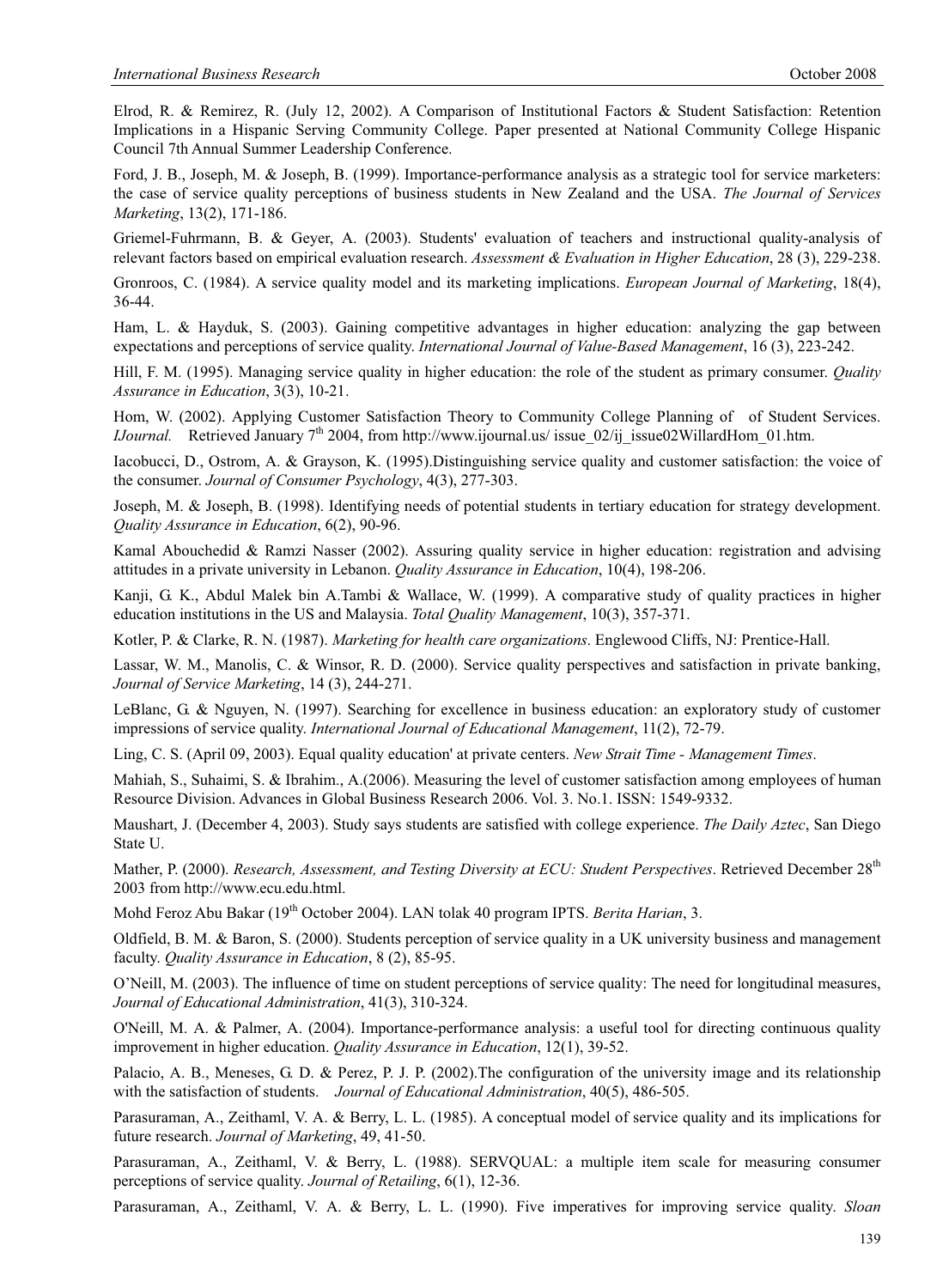Elrod, R. & Remirez, R. (July 12, 2002). A Comparison of Institutional Factors & Student Satisfaction: Retention Implications in a Hispanic Serving Community College. Paper presented at National Community College Hispanic Council 7th Annual Summer Leadership Conference.

Ford, J. B., Joseph, M. & Joseph, B. (1999). Importance-performance analysis as a strategic tool for service marketers: the case of service quality perceptions of business students in New Zealand and the USA. *The Journal of Services Marketing*, 13(2), 171-186.

Griemel-Fuhrmann, B. & Geyer, A. (2003). Students' evaluation of teachers and instructional quality-analysis of relevant factors based on empirical evaluation research. *Assessment & Evaluation in Higher Education*, 28 (3), 229-238.

Gronroos, C. (1984). A service quality model and its marketing implications. *European Journal of Marketing*, 18(4), 36-44.

Ham, L. & Hayduk, S. (2003). Gaining competitive advantages in higher education: analyzing the gap between expectations and perceptions of service quality. *International Journal of Value-Based Management*, 16 (3), 223-242.

Hill, F. M. (1995). Managing service quality in higher education: the role of the student as primary consumer. *Quality Assurance in Education*, 3(3), 10-21.

Hom, W. (2002). Applying Customer Satisfaction Theory to Community College Planning of of Student Services. *IJournal.* Retrieved January 7<sup>th</sup> 2004, from http://www.ijournal.us/ issue\_02/ij\_issue02WillardHom\_01.htm.

Iacobucci, D., Ostrom, A. & Grayson, K. (1995).Distinguishing service quality and customer satisfaction: the voice of the consumer. *Journal of Consumer Psychology*, 4(3), 277-303.

Joseph, M. & Joseph, B. (1998). Identifying needs of potential students in tertiary education for strategy development. *Quality Assurance in Education*, 6(2), 90-96.

Kamal Abouchedid & Ramzi Nasser (2002). Assuring quality service in higher education: registration and advising attitudes in a private university in Lebanon. *Quality Assurance in Education*, 10(4), 198-206.

Kanji, G. K., Abdul Malek bin A.Tambi & Wallace, W. (1999). A comparative study of quality practices in higher education institutions in the US and Malaysia. *Total Quality Management*, 10(3), 357-371.

Kotler, P. & Clarke, R. N. (1987). *Marketing for health care organizations*. Englewood Cliffs, NJ: Prentice-Hall.

Lassar, W. M., Manolis, C. & Winsor, R. D. (2000). Service quality perspectives and satisfaction in private banking, *Journal of Service Marketing*, 14 (3), 244-271.

LeBlanc, G. & Nguyen, N. (1997). Searching for excellence in business education: an exploratory study of customer impressions of service quality. *International Journal of Educational Management*, 11(2), 72-79.

Ling, C. S. (April 09, 2003). Equal quality education' at private centers. *New Strait Time - Management Times*.

Mahiah, S., Suhaimi, S. & Ibrahim., A.(2006). Measuring the level of customer satisfaction among employees of human Resource Division. Advances in Global Business Research 2006. Vol. 3. No.1. ISSN: 1549-9332.

Maushart, J. (December 4, 2003). Study says students are satisfied with college experience. *The Daily Aztec*, San Diego State U.

Mather, P. (2000). *Research, Assessment, and Testing Diversity at ECU: Student Perspectives*. Retrieved December 28<sup>th</sup> 2003 from http://www.ecu.edu.html.

Mohd Feroz Abu Bakar (19<sup>th</sup> October 2004). LAN tolak 40 program IPTS. *Berita Harian*, 3.

Oldfield, B. M. & Baron, S. (2000). Students perception of service quality in a UK university business and management faculty. *Quality Assurance in Education*, 8 (2), 85-95.

O'Neill, M. (2003). The influence of time on student perceptions of service quality: The need for longitudinal measures, *Journal of Educational Administration*, 41(3), 310-324.

O'Neill, M. A. & Palmer, A. (2004). Importance-performance analysis: a useful tool for directing continuous quality improvement in higher education. *Quality Assurance in Education*, 12(1), 39-52.

Palacio, A. B., Meneses, G. D. & Perez, P. J. P. (2002).The configuration of the university image and its relationship with the satisfaction of students. *Journal of Educational Administration*, 40(5), 486-505.

Parasuraman, A., Zeithaml, V. A. & Berry, L. L. (1985). A conceptual model of service quality and its implications for future research. *Journal of Marketing*, 49, 41-50.

Parasuraman, A., Zeithaml, V. & Berry, L. (1988). SERVQUAL: a multiple item scale for measuring consumer perceptions of service quality. *Journal of Retailing*, 6(1), 12-36.

Parasuraman, A., Zeithaml, V. A. & Berry, L. L. (1990). Five imperatives for improving service quality. *Sloan*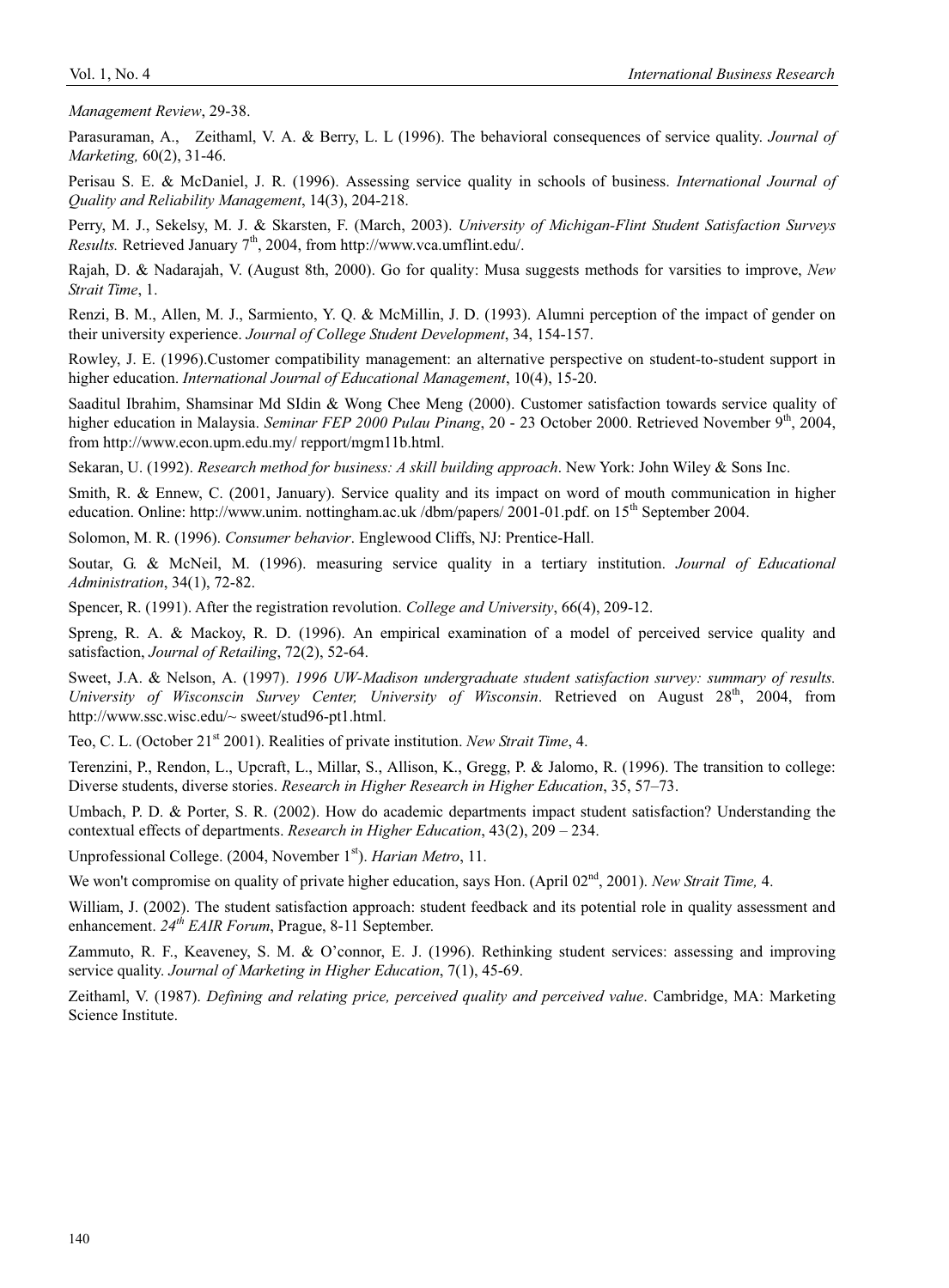*Management Review*, 29-38.

Parasuraman, A., Zeithaml, V. A. & Berry, L. L (1996). The behavioral consequences of service quality. *Journal of Marketing,* 60(2), 31-46.

Perisau S. E. & McDaniel, J. R. (1996). Assessing service quality in schools of business. *International Journal of Quality and Reliability Management*, 14(3), 204-218.

Perry, M. J., Sekelsy, M. J. & Skarsten, F. (March, 2003). *University of Michigan-Flint Student Satisfaction Surveys Results.* Retrieved January 7<sup>th</sup>, 2004, from http://www.vca.umflint.edu/.

Rajah, D. & Nadarajah, V. (August 8th, 2000). Go for quality: Musa suggests methods for varsities to improve, *New Strait Time*, 1.

Renzi, B. M., Allen, M. J., Sarmiento, Y. Q. & McMillin, J. D. (1993). Alumni perception of the impact of gender on their university experience. *Journal of College Student Development*, 34, 154-157.

Rowley, J. E. (1996).Customer compatibility management: an alternative perspective on student-to-student support in higher education. *International Journal of Educational Management*, 10(4), 15-20.

Saaditul Ibrahim, Shamsinar Md SIdin & Wong Chee Meng (2000). Customer satisfaction towards service quality of higher education in Malaysia. *Seminar FEP 2000 Pulau Pinang*, 20 - 23 October 2000. Retrieved November 9<sup>th</sup>, 2004, from http://www.econ.upm.edu.my/ repport/mgm11b.html.

Sekaran, U. (1992). *Research method for business: A skill building approach*. New York: John Wiley & Sons Inc.

Smith, R. & Ennew, C. (2001, January). Service quality and its impact on word of mouth communication in higher education. Online: http://www.unim. nottingham.ac.uk /dbm/papers/ 2001-01.pdf. on 15th September 2004.

Solomon, M. R. (1996). *Consumer behavior*. Englewood Cliffs, NJ: Prentice-Hall.

Soutar, G. & McNeil, M. (1996). measuring service quality in a tertiary institution. *Journal of Educational Administration*, 34(1), 72-82.

Spencer, R. (1991). After the registration revolution. *College and University*, 66(4), 209-12.

Spreng, R. A. & Mackoy, R. D. (1996). An empirical examination of a model of perceived service quality and satisfaction, *Journal of Retailing*, 72(2), 52-64.

Sweet, J.A. & Nelson, A. (1997). *1996 UW-Madison undergraduate student satisfaction survey: summary of results. University of Wisconscin Survey Center, University of Wisconsin.* Retrieved on August 28<sup>th</sup>, 2004, from http://www.ssc.wisc.edu/~ sweet/stud96-pt1.html.

Teo, C. L. (October 21<sup>st</sup> 2001). Realities of private institution. *New Strait Time*, 4.

Terenzini, P., Rendon, L., Upcraft, L., Millar, S., Allison, K., Gregg, P. & Jalomo, R. (1996). The transition to college: Diverse students, diverse stories. *Research in Higher Research in Higher Education*, 35, 57–73.

Umbach, P. D. & Porter, S. R. (2002). How do academic departments impact student satisfaction? Understanding the contextual effects of departments. *Research in Higher Education*, 43(2), 209 – 234.

Unprofessional College. (2004, November 1st). *Harian Metro*, 11.

We won't compromise on quality of private higher education, says Hon. (April 02<sup>nd</sup>, 2001). *New Strait Time*, 4.

William, J. (2002). The student satisfaction approach: student feedback and its potential role in quality assessment and enhancement. *24th EAIR Forum*, Prague, 8-11 September.

Zammuto, R. F., Keaveney, S. M. & O'connor, E. J. (1996). Rethinking student services: assessing and improving service quality. *Journal of Marketing in Higher Education*, 7(1), 45-69.

Zeithaml, V. (1987). *Defining and relating price, perceived quality and perceived value*. Cambridge, MA: Marketing Science Institute.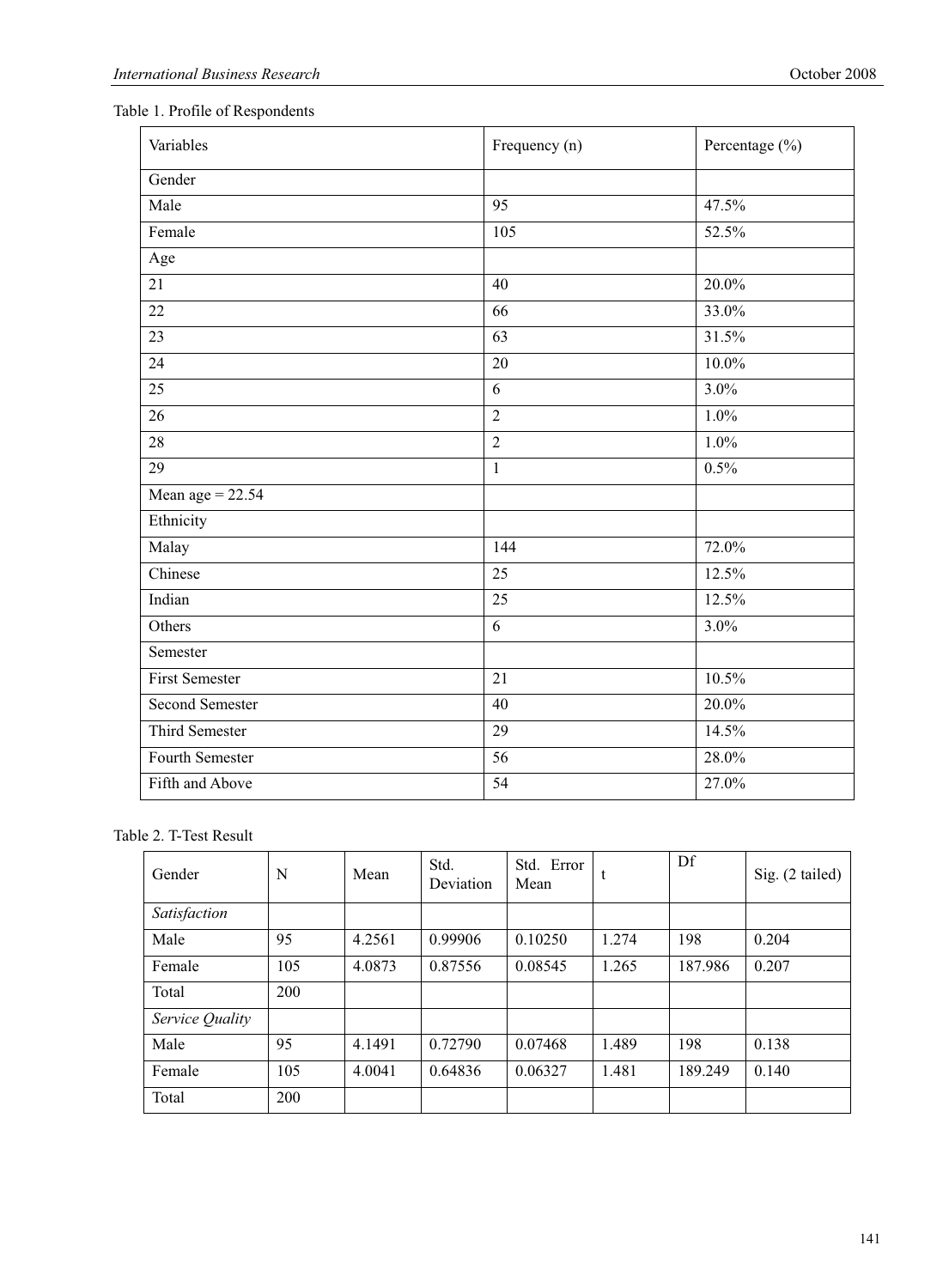| Variables              | Frequency (n)  | Percentage (%) |
|------------------------|----------------|----------------|
| Gender                 |                |                |
| Male                   | 95             | 47.5%          |
| Female                 | 105            | 52.5%          |
| Age                    |                |                |
| 21                     | 40             | 20.0%          |
| 22                     | 66             | 33.0%          |
| 23                     | 63             | 31.5%          |
| 24                     | 20             | $10.0\%$       |
| 25                     | 6              | 3.0%           |
| 26                     | $\overline{2}$ | 1.0%           |
| 28                     | $\overline{c}$ | 1.0%           |
| 29                     | $\mathbf{1}$   | 0.5%           |
| Mean age = $22.54$     |                |                |
| Ethnicity              |                |                |
| Malay                  | 144            | 72.0%          |
| Chinese                | 25             | 12.5%          |
| Indian                 | 25             | 12.5%          |
| Others                 | 6              | 3.0%           |
| Semester               |                |                |
| First Semester         | 21             | 10.5%          |
| <b>Second Semester</b> | 40             | 20.0%          |
| Third Semester         | 29             | 14.5%          |
| Fourth Semester        | 56             | 28.0%          |
| Fifth and Above        | 54             | 27.0%          |

# Table 2. T-Test Result

| Gender          | N   | Mean   | Std.<br><b>Deviation</b> | Std. Error<br>Mean |       | Df      | $Sig. (2-tailed)$ |
|-----------------|-----|--------|--------------------------|--------------------|-------|---------|-------------------|
| Satisfaction    |     |        |                          |                    |       |         |                   |
| Male            | 95  | 4.2561 | 0.99906                  | 0.10250            | 1.274 | 198     | 0.204             |
| Female          | 105 | 4.0873 | 0.87556                  | 0.08545            | 1.265 | 187.986 | 0.207             |
| Total           | 200 |        |                          |                    |       |         |                   |
| Service Quality |     |        |                          |                    |       |         |                   |
| Male            | 95  | 4.1491 | 0.72790                  | 0.07468            | 1.489 | 198     | 0.138             |
| Female          | 105 | 4.0041 | 0.64836                  | 0.06327            | 1.481 | 189.249 | 0.140             |
| Total           | 200 |        |                          |                    |       |         |                   |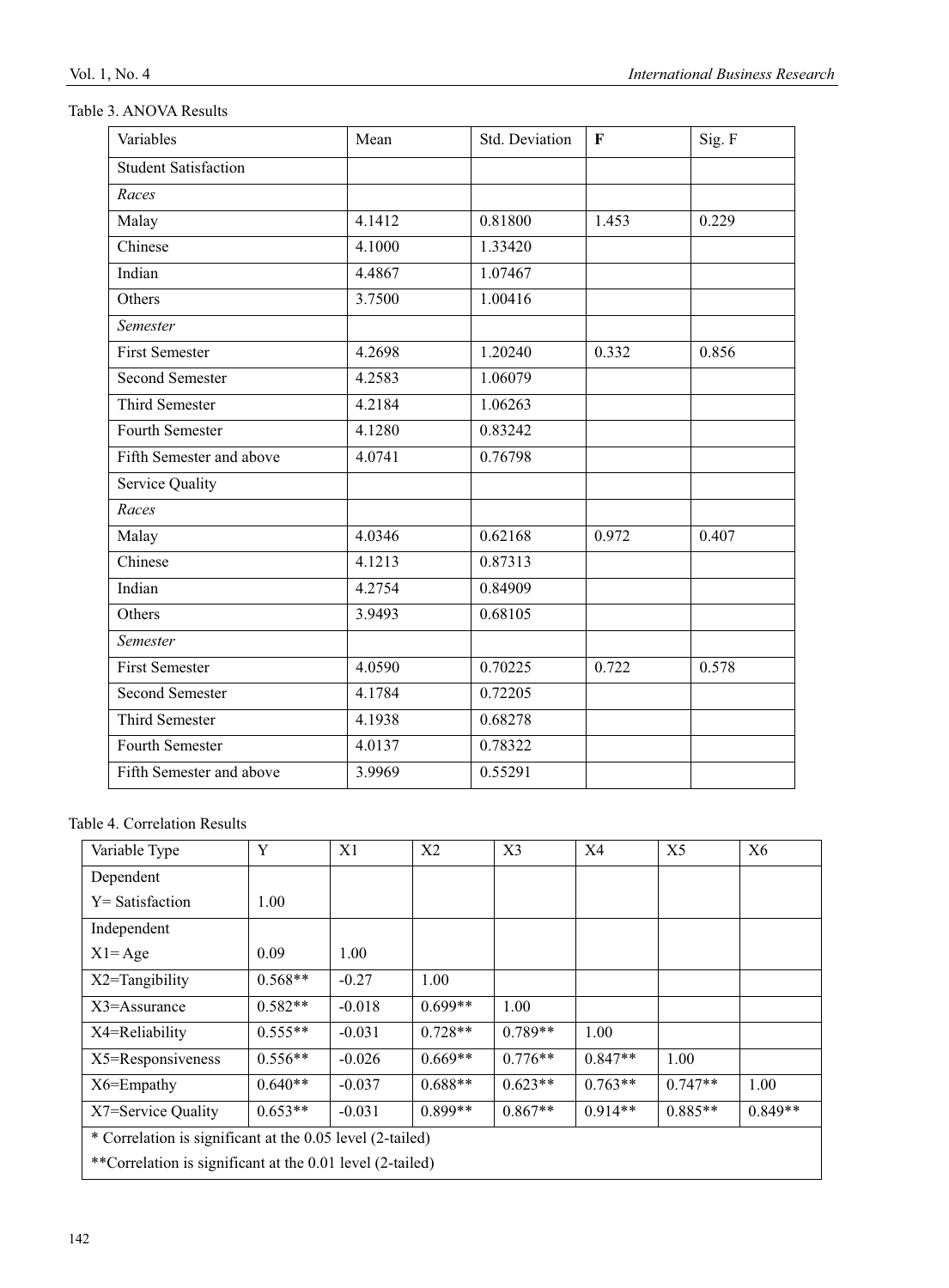## Table 3. ANOVA Results

| Variables                   | Mean   | Std. Deviation | $\mathbf F$ | Sig. F |
|-----------------------------|--------|----------------|-------------|--------|
| <b>Student Satisfaction</b> |        |                |             |        |
| Races                       |        |                |             |        |
| Malay                       | 4.1412 | 0.81800        | 1.453       | 0.229  |
| Chinese                     | 4.1000 | 1.33420        |             |        |
| Indian                      | 4.4867 | 1.07467        |             |        |
| Others                      | 3.7500 | 1.00416        |             |        |
| Semester                    |        |                |             |        |
| <b>First Semester</b>       | 4.2698 | 1.20240        | 0.332       | 0.856  |
| <b>Second Semester</b>      | 4.2583 | 1.06079        |             |        |
| <b>Third Semester</b>       | 4.2184 | 1.06263        |             |        |
| Fourth Semester             | 4.1280 | 0.83242        |             |        |
| Fifth Semester and above    | 4.0741 | 0.76798        |             |        |
| Service Quality             |        |                |             |        |
| Races                       |        |                |             |        |
| Malay                       | 4.0346 | 0.62168        | 0.972       | 0.407  |
| Chinese                     | 4.1213 | 0.87313        |             |        |
| Indian                      | 4.2754 | 0.84909        |             |        |
| Others                      | 3.9493 | 0.68105        |             |        |
| Semester                    |        |                |             |        |
| <b>First Semester</b>       | 4.0590 | 0.70225        | 0.722       | 0.578  |
| <b>Second Semester</b>      | 4.1784 | 0.72205        |             |        |
| <b>Third Semester</b>       | 4.1938 | 0.68278        |             |        |
| Fourth Semester             | 4.0137 | 0.78322        |             |        |
| Fifth Semester and above    | 3.9969 | 0.55291        |             |        |

# Table 4. Correlation Results

| Variable Type                                             | Y         | X1       | X2        | X3        | X4        | X <sub>5</sub> | X6        |
|-----------------------------------------------------------|-----------|----------|-----------|-----------|-----------|----------------|-----------|
| Dependent                                                 |           |          |           |           |           |                |           |
| $Y = Satisfactor$                                         | 1.00      |          |           |           |           |                |           |
| Independent                                               |           |          |           |           |           |                |           |
| $X1 = Age$                                                | 0.09      | 1.00     |           |           |           |                |           |
| X2=Tangibility                                            | $0.568**$ | $-0.27$  | 1.00      |           |           |                |           |
| $X3 =$ Assurance                                          | $0.582**$ | $-0.018$ | $0.699**$ | 1.00      |           |                |           |
| X4=Reliability                                            | $0.555**$ | $-0.031$ | $0.728**$ | $0.789**$ | 1.00      |                |           |
| X5=Responsiveness                                         | $0.556**$ | $-0.026$ | $0.669**$ | $0.776**$ | $0.847**$ | 1.00           |           |
| $X6 = Empathy$                                            | $0.640**$ | $-0.037$ | $0.688**$ | $0.623**$ | $0.763**$ | $0.747**$      | 1.00      |
| X7=Service Quality                                        | $0.653**$ | $-0.031$ | $0.899**$ | $0.867**$ | $0.914**$ | $0.885**$      | $0.849**$ |
| * Correlation is significant at the 0.05 level (2-tailed) |           |          |           |           |           |                |           |
| **Correlation is significant at the 0.01 level (2-tailed) |           |          |           |           |           |                |           |